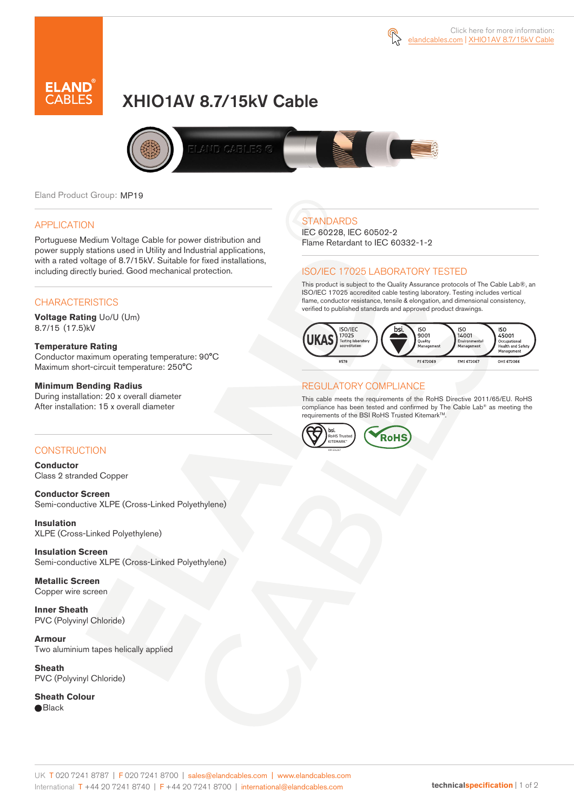

# XHIO1AV 8.7/15kV Cable



Eland Product Group: MP19

### APPLICATION

Portuguese Medium Voltage Cable for power distribution and power supply stations used in Utility and Industrial applications, with a rated voltage of 8.7/15kV. Suitable for fixed installations, including directly buried. Good mechanical protection.

### **CHARACTERISTICS**

**Voltage Rating** Uo/U (Um) 8.7/15 (17.5)kV

#### **Temperature Rating**

Conductor maximum operating temperature: 90°C Maximum short-circuit temperature: 250°C

#### **Minimum Bending Radius**

During installation: 20 x overall diameter After installation: 15 x overall diameter

### CONSTRUCTION

**Conductor**  Class 2 stranded Copper

**Conductor Screen** Semi-conductive XLPE (Cross-Linked Polyethylene)

**Insulation** XLPE (Cross-Linked Polyethylene)

**Insulation Screen** Semi-conductive XLPE (Cross-Linked Polyethylene)

**Metallic Screen**  Copper wire screen

**Inner Sheath** PVC (Polyvinyl Chloride)

**Armour** Two aluminium tapes helically applied

**Sheath** PVC (Polyvinyl Chloride)

**Sheath Colour**  ● Black

### **STANDARDS**

IEC 60228, IEC 60502-2 Flame Retardant to IEC 60332-1-2

### ISO/IEC 17025 LABORATORY TESTED

This product is subject to the Quality Assurance protocols of The Cable Lab®, an ISO/IEC 17025 accredited cable testing laboratory. Testing includes vertical flame, conductor resistance, tensile & elongation, and dimensional consistency, verified to published standards and approved product drawings.



### REGULATORY COMPLIANCE

This cable meets the requirements of the RoHS Directive 2011/65/EU. RoHS compliance has been tested and confirmed by The Cable Lab® as meeting the requirements of the BSI RoHS Trusted KitemarkTM.